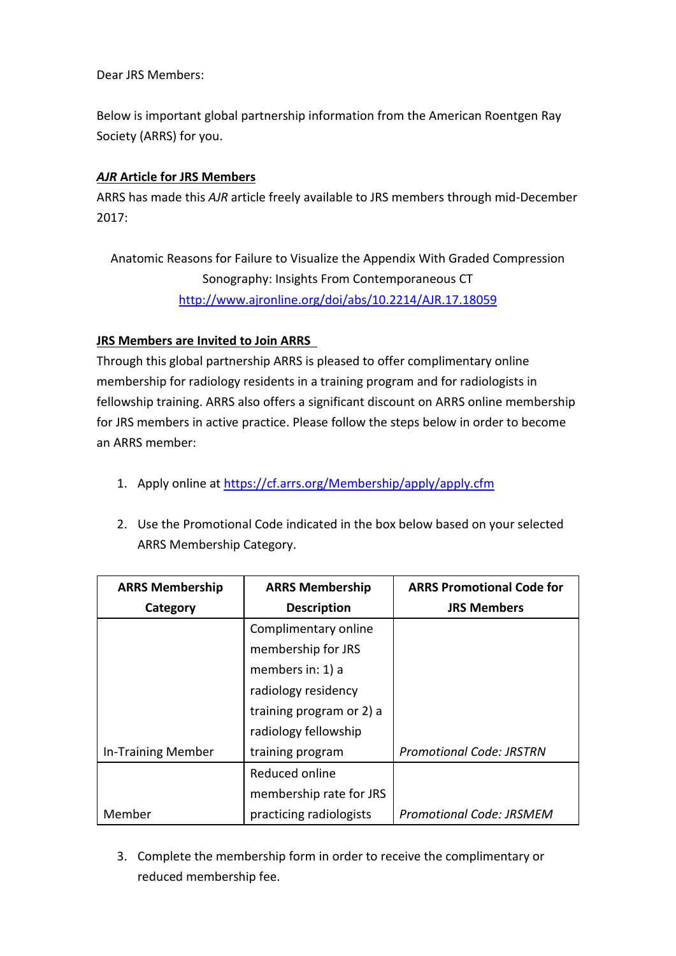Dear JRS Members:

Below is important global partnership information from the American Roentgen Ray Society (ARRS) for you.

## *AJR* **Article for JRS Members**

ARRS has made this *AJR* article freely available to JRS members through mid-December 2017:

Anatomic Reasons for Failure to Visualize the Appendix With Graded Compression Sonography: Insights From Contemporaneous CT <http://www.ajronline.org/doi/abs/10.2214/AJR.17.18059>

## **JRS Members are Invited to Join ARRS**

Through this global partnership ARRS is pleased to offer complimentary online membership for radiology residents in a training program and for radiologists in fellowship training. ARRS also offers a significant discount on ARRS online membership for JRS members in active practice. Please follow the steps below in order to become an ARRS member:

- 1. Apply online at<https://cf.arrs.org/Membership/apply/apply.cfm>
- 2. Use the Promotional Code indicated in the box below based on your selected ARRS Membership Category.

| <b>ARRS Membership</b>    | <b>ARRS Membership</b>   | <b>ARRS Promotional Code for</b> |
|---------------------------|--------------------------|----------------------------------|
| Category                  | <b>Description</b>       | <b>JRS Members</b>               |
|                           | Complimentary online     |                                  |
|                           | membership for JRS       |                                  |
|                           | members in: 1) a         |                                  |
|                           | radiology residency      |                                  |
|                           | training program or 2) a |                                  |
|                           | radiology fellowship     |                                  |
| <b>In-Training Member</b> | training program         | <b>Promotional Code: JRSTRN</b>  |
|                           | Reduced online           |                                  |
|                           | membership rate for JRS  |                                  |
| Member                    | practicing radiologists  | <b>Promotional Code: JRSMEM</b>  |

3. Complete the membership form in order to receive the complimentary or reduced membership fee.